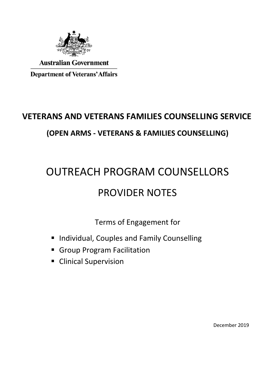

**Australian Government** 

**Department of Veterans' Affairs** 

## **VETERANS AND VETERANS FAMILIES COUNSELLING SERVICE (OPEN ARMS - VETERANS & FAMILIES COUNSELLING)**

# OUTREACH PROGRAM COUNSELLORS PROVIDER NOTES

Terms of Engagement for

- **Individual, Couples and Family Counselling**
- Group Program Facilitation
- **E** Clinical Supervision

December 2019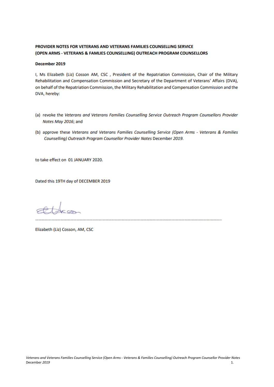#### PROVIDER NOTES FOR VETERANS AND VETERANS FAMILIES COUNSELLING SERVICE (OPEN ARMS - VETERANS & FAMLIES COUNSELLING) OUTREACH PROGRAM COUNSELLORS

#### December 2019

I, Ms Elizabeth (Liz) Cosson AM, CSC, President of the Repatriation Commission, Chair of the Military Rehabilitation and Compensation Commission and Secretary of the Department of Veterans' Affairs (DVA), on behalf of the Repatriation Commission, the Military Rehabilitation and Compensation Commission and the DVA, hereby:

- (a) revoke the Veterans and Veterans Families Counselling Service Outreach Program Counsellors Provider Notes May 2016; and
- (b) approve these Veterans and Veterans Families Counselling Service (Open Arms Veterans & Families Counselling) Outreach Program Counsellor Provider Notes December 2019.

to take effect on 01 JANUARY 2020.

Dated this 19TH day of DECEMBER 2019

Elizabeth (Liz) Cosson, AM, CSC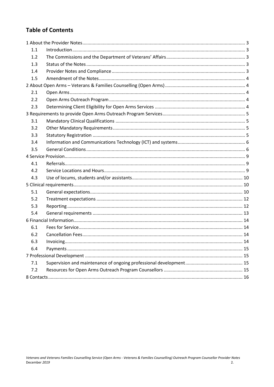## **Table of Contents**

| 1.1 |  |  |  |
|-----|--|--|--|
| 1.2 |  |  |  |
| 1.3 |  |  |  |
| 1.4 |  |  |  |
| 1.5 |  |  |  |
|     |  |  |  |
| 2.1 |  |  |  |
| 2.2 |  |  |  |
| 2.3 |  |  |  |
|     |  |  |  |
| 3.1 |  |  |  |
| 3.2 |  |  |  |
| 3.3 |  |  |  |
| 3.4 |  |  |  |
| 3.5 |  |  |  |
|     |  |  |  |
| 4.1 |  |  |  |
| 4.2 |  |  |  |
| 4.3 |  |  |  |
|     |  |  |  |
| 5.1 |  |  |  |
| 5.2 |  |  |  |
| 5.3 |  |  |  |
| 5.4 |  |  |  |
|     |  |  |  |
| 6.1 |  |  |  |
| 6.2 |  |  |  |
| 6.3 |  |  |  |
| 6.4 |  |  |  |
|     |  |  |  |
| 7.1 |  |  |  |
| 7.2 |  |  |  |
|     |  |  |  |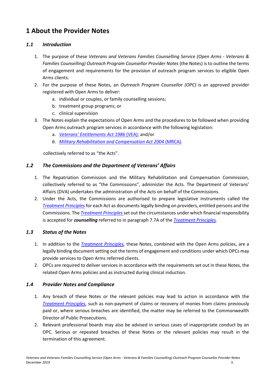## <span id="page-3-0"></span>**1 About the Provider Notes**

#### <span id="page-3-1"></span>*1.1 Introduction*

- 1. The purpose of these *Veterans and Veterans Families Counselling Service (Open Arms - Veterans & Families Counselling) Outreach Program Counsellor Provider Notes* (the Notes) is to outline the terms of engagement and requirements for the provision of outreach program services to eligible Open Arms clients.
- 2. For the purpose of these Notes, an *Outreach Program Counsellor (OPC)* is an approved provider registered with Open Arms to deliver:
	- a. individual or couples, or family counselling sessions;
	- b. treatment group programs; or
	- c. clinical supervision
- 3. The Notes explain the expectations of Open Arms and the procedures to be followed when providing Open Arms outreach program services in accordance with the following legislation:
	- a. *[Veterans' Entitlements Act 1986](https://www.dva.gov.au/benefits-and-payments/compensation/veterans-entitlements-act-vea)* (VEA); and/or
	- *b. [Military Rehabilitation and Compensation Act 2004](https://www.dva.gov.au/benefits-and-payments/compensation/military-rehabilitation-and-compensation-act-mrca)* (MRCA).

collectively referred to as "the Acts".

#### <span id="page-3-2"></span>*1.2 The Commissions and the Department of Veterans' Affairs*

- 1. The Repatriation Commission and the Military Rehabilitation and Compensation Commission, collectively referred to as "the Commissions", administer the Acts. The Department of Veterans' Affairs (DVA) undertakes the administration of the Acts on behalf of the Commissions.
- 2. Under the Acts, the Commissions are authorised to prepare legislative instruments called the *[Treatment Principles](https://www.legislation.gov.au/Details/F2019C00117)* for each Act as documents legally binding on providers, entitled persons and the Commissions. The *[Treatment Principles](https://www.legislation.gov.au/Details/F2019C00117)*set out the circumstances under which financial responsibility is accepted for *counselling* referred to in paragraph 7.7A of the *[Treatment Principles.](https://www.legislation.gov.au/Details/F2019C00117)*

#### <span id="page-3-3"></span>*1.3 Status of the Notes*

- 1. In addition to the *[Treatment Principles,](https://www.legislation.gov.au/Details/F2019C00117)* these Notes, combined with the Open Arms policies, are a legally binding document setting out the terms of engagement and conditions under which OPCs may provide services to Open Arms referred clients.
- 2. OPCs are required to deliver services in accordance with the requirements set out in these Notes, the related Open Arms policies and as instructed during clinical induction.

#### <span id="page-3-4"></span>*1.4 Provider Notes and Compliance*

- 1. Any breach of these Notes or the relevant policies may lead to action in accordance with the *[Treatment Principles](https://www.legislation.gov.au/Details/F2019C00117)*, such as non-payment of claims or recovery of monies from claims previously paid or, where serious breaches are identified, the matter may be referred to the Commonwealth Director of Public Prosecutions.
- 2. Relevant professional boards may also be advised in serious cases of inappropriate conduct by an OPC. Serious or repeated breaches of these Notes or the relevant policies may result in the termination of this agreement.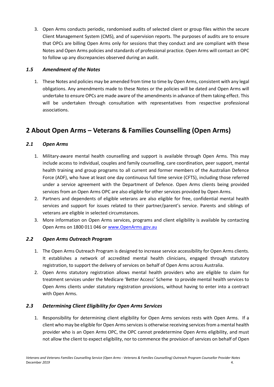3. Open Arms conducts periodic, randomised audits of selected client or group files within the secure Client Management System (CMS), and of supervision reports. The purposes of audits are to ensure that OPCs are billing Open Arms only for sessions that they conduct and are compliant with these Notes and Open Arms policies and standards of professional practice. Open Arms will contact an OPC to follow up any discrepancies observed during an audit.

#### <span id="page-4-0"></span>*1.5 Amendment of the Notes*

1. These Notes and policies may be amended from time to time by Open Arms, consistent with any legal obligations. Any amendments made to these Notes or the policies will be dated and Open Arms will undertake to ensure OPCs are made aware of the amendments in advance of them taking effect. This will be undertaken through consultation with representatives from respective professional associations.

## <span id="page-4-1"></span>**2 About Open Arms – Veterans & Families Counselling (Open Arms)**

#### <span id="page-4-2"></span>*2.1 Open Arms*

- 1. Military-aware mental health counselling and support is available through Open Arms. This may include access to individual, couples and family counselling, care coordination, peer support, mental health training and group programs to all current and former members of the Australian Defence Force (ADF), who have at least one day continuous full time service (CFTS), including those referred under a service agreement with the Department of Defence. Open Arms clients being provided services from an Open Arms OPC are also eligible for other services provided by Open Arms.
- 2. Partners and dependents of eligible veterans are also eligible for free, confidential mental health services and support for issues related to their partner/parent's service. Parents and siblings of veterans are eligible in selected circumstances.
- 3. More information on Open Arms services, programs and client eligibility is available by contacting Open Arms on 1800 011 046 o[r www.OpenArms.gov.au](http://www.openarms.gov.au/)

#### <span id="page-4-3"></span>*2.2 Open Arms Outreach Program*

- 1. The Open Arms Outreach Program is designed to increase service accessibility for Open Arms clients. It establishes a network of accredited mental health clinicians, engaged through statutory registration, to support the delivery of services on behalf of Open Arms across Australia.
- 2. Open Arms statutory registration allows mental health providers who are eligible to claim for treatment services under the Medicare 'Better Access' Scheme to provide mental health services to Open Arms clients under statutory registration provisions, without having to enter into a contract with Open Arms.

#### <span id="page-4-4"></span>*2.3 Determining Client Eligibility for Open Arms Services*

1. Responsibility for determining client eligibility for Open Arms services rests with Open Arms. If a client who may be eligible for Open Arms services is otherwise receiving services from a mental health provider who is an Open Arms OPC, the OPC cannot predetermine Open Arms eligibility, and must not allow the client to expect eligibility, nor to commence the provision of services on behalf of Open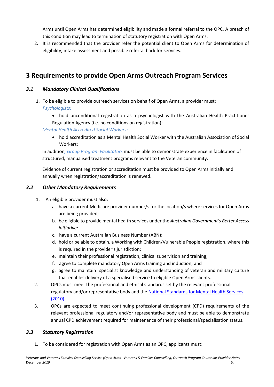Arms until Open Arms has determined eligibility and made a formal referral to the OPC. A breach of this condition may lead to termination of statutory registration with Open Arms.

2. It is recommended that the provider refer the potential client to Open Arms for determination of eligibility, intake assessment and possible referral back for services.

## <span id="page-5-0"></span>**3 Requirements to provide Open Arms Outreach Program Services**

#### <span id="page-5-1"></span>*3.1 Mandatory Clinical Qualifications*

- 1. To be eligible to provide outreach services on behalf of Open Arms, a provider must: *Psychologists:*
	- hold unconditional registration as a psychologist with the Australian Health Practitioner Regulation Agency (i.e. no conditions on registration);

#### *Mental Health Accredited Social Workers:*

 hold accreditation as a Mental Health Social Worker with the Australian Association of Social Workers;

In addition*, Group Program Facilitators* must be able to demonstrate experience in facilitation of structured, manualised treatment programs relevant to the Veteran community.

Evidence of current registration or accreditation must be provided to Open Arms initially and annually when registration/accreditation is renewed.

#### <span id="page-5-2"></span>*3.2 Other Mandatory Requirements*

- 1. An eligible provider must also:
	- a. have a current Medicare provider number/s for the location/s where services for Open Arms are being provided;
	- b. be eligible to provide mental health services under the *Australian Government's Better Access initiative;*
	- c. have a current Australian Business Number (ABN);
	- d. hold or be able to obtain, a Working with Children/Vulnerable People registration, where this is required in the provider's jurisdiction;
	- e. maintain their professional registration, clinical supervision and training;
	- f. agree to complete mandatory Open Arms training and induction; and
	- g. agree to maintain specialist knowledge and understanding of veteran and military culture that enables delivery of a specialised service to eligible Open Arms clients.
- 2. OPCs must meet the professional and ethical standards set by the relevant professional regulatory and/or representative body and the [National Standards for Mental Health Services](https://www1.health.gov.au/internet/publications/publishing.nsf/Content/mental-pubs-n-servst10-toc)  [\(2010\).](https://www1.health.gov.au/internet/publications/publishing.nsf/Content/mental-pubs-n-servst10-toc)
- 3. OPCs are expected to meet continuing professional development (CPD) requirements of the relevant professional regulatory and/or representative body and must be able to demonstrate annual CPD achievement required for maintenance of their professional/specialisation status.

#### <span id="page-5-3"></span>*3.3 Statutory Registration*

1. To be considered for registration with Open Arms as an OPC, applicants must: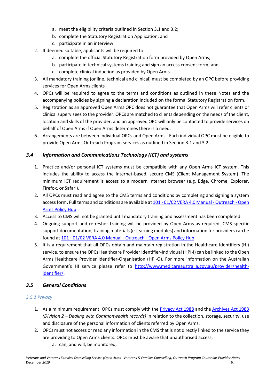- a. meet the eligibility criteria outlined in Section 3.1 and 3.2;
- b. complete the Statutory Registration Application; and
- c. participate in an interview.
- 2. If deemed suitable, applicants will be required to:
	- a. complete the official Statutory Registration form provided by Open Arms;
	- b. participate in technical systems training and sign an access consent form; and
	- c. complete clinical induction as provided by Open Arms.
- 3. All mandatory training (online, technical and clinical) must be completed by an OPC before providing services for Open Arms clients
- 4. OPCs will be required to agree to the terms and conditions as outlined in these Notes and the accompanying policies by signing a declaration included on the formal Statutory Registration form.
- 5. Registration as an approved Open Arms OPC does not guarantee that Open Arms will refer clients or clinical supervisees to the provider. OPCs are matched to clients depending on the needs of the client, location and skills of the provider, and an approved OPC will only be contacted to provide services on behalf of Open Arms if Open Arms determines there is a need.
- 6. Arrangements are between individual OPCs and Open Arms. Each individual OPC must be eligible to provide Open Arms Outreach Program services as outlined in Section 3.1 and 3.2.

#### <span id="page-6-0"></span>*3.4 Information and Communications Technology (ICT) and systems*

- 1. Practice and/or personal ICT systems must be compatible with any Open Arms ICT system. This includes the ability to access the internet-based, secure CMS (Client Management System). The minimum ICT requirement is access to a modern Internet browser (e.g. Edge, Chrome, Explorer, Firefox, or Safari).
- 2. All OPCs must read and agree to the CMS terms and conditions by completing and signing a system access form. Full terms and conditions are available at 101 - [01/02 VERA 4.0 Manual -](https://confluence.vera.org.au/pages/viewpage.action?pageId=79462416) Outreach - Open [Arms Policy Hub](https://confluence.vera.org.au/pages/viewpage.action?pageId=79462416)
- 3. Access to CMS will not be granted until mandatory training and assessment has been completed.
- 4. Ongoing support and refresher training will be provided by Open Arms as required. CMS specific support documentation, training materials (e-learning modules) and information for providers can be found at 101 - [01/02 VERA 4.0 Manual -](https://confluence.vera.org.au/pages/viewpage.action?pageId=79462416) Outreach - Open Arms Policy Hub
- 5. It is a requirement that all OPCs obtain and maintain registration in the Healthcare Identifiers (HI) service, to ensure the OPCs Healthcare Provider Identifier-Individual (HPI-I) can be linked to the Open Arms Healthcare Provider Identifier-Organisation (HPI-O). For more information on the Australian Government's HI service please refer to [http://www.medicareaustralia.gov.au/provider/health](http://www.medicareaustralia.gov.au/provider/health-identifier/)[identifier/.](http://www.medicareaustralia.gov.au/provider/health-identifier/)

#### <span id="page-6-1"></span>*3.5 General Conditions*

#### *3.5.1 Privacy*

- 1. As a minimum requirement, OPCs must comply with the **Privacy Act 1988** and the **[Archives Act 1983](https://www.legislation.gov.au/Details/C2019C00179)** *(Division 2 – Dealing with Commonwealth records)* in relation to the collection, storage, security, use and disclosure of the personal information of clients referred by Open Arms.
- 2. OPCs must not access or read any information in the CMS that is not directly linked to the service they are providing to Open Arms clients. OPCs must be aware that unauthorised access;
	- a. can, and will, be monitored;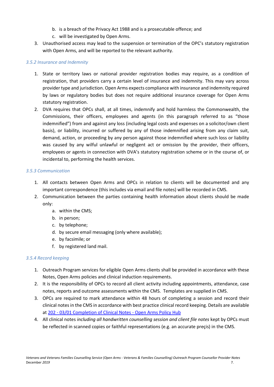- b. is a breach of the Privacy Act 1988 and is a prosecutable offence; and
- c. will be investigated by Open Arms.
- 3. Unauthorised access may lead to the suspension or termination of the OPC's statutory registration with Open Arms, and will be reported to the relevant authority.

#### *3.5.2 Insurance and Indemnity*

- 1. State or territory laws or national provider registration bodies may require, as a condition of registration, that providers carry a certain level of insurance and indemnity. This may vary across provider type and jurisdiction. Open Arms expects compliance with insurance and indemnity required by laws or regulatory bodies but does not require additional insurance coverage for Open Arms statutory registration.
- 2. DVA requires that OPCs shall, at all times, indemnify and hold harmless the Commonwealth, the Commissions, their officers, employees and agents (in this paragraph referred to as "those indemnified") from and against any loss (including legal costs and expenses on a solicitor/own client basis), or liability, incurred or suffered by any of those indemnified arising from any claim suit, demand, action, or proceeding by any person against those indemnified where such loss or liability was caused by any wilful unlawful or negligent act or omission by the provider, their officers, employees or agents in connection with DVA's statutory registration scheme or in the course of, or incidental to, performing the health services.

#### *3.5.3 Communication*

- 1. All contacts between Open Arms and OPCs in relation to clients will be documented and any important correspondence (this includes via email and file notes) will be recorded in CMS.
- 2. Communication between the parties containing health information about clients should be made only:
	- a. within the CMS;
	- b. in person;
	- c. by telephone;
	- d. by secure email messaging (only where available);
	- e. by facsimile; or
	- f. by registered land mail.

#### *3.5.4 Record keeping*

- 1. Outreach Program services for eligible Open Arms clients shall be provided in accordance with these Notes, Open Arms policies and clinical induction requirements.
- 2. It is the responsibility of OPCs to record all client activity including appointments, attendance, case notes, reports and outcome assessments within the CMS. Templates are supplied in CMS.
- 3. OPCs are required to mark attendance within 48 hours of completing a session and record their clinical notes in the CMS in accordance with best practice clinical record keeping. Details are available at 202 - [03/01 Completion of Clinical Notes -](https://confluence.vera.org.au/pages/viewpage.action?pageId=79462542) Open Arms Policy Hub
- 4. All clinical notes *including all handwritten counselling session and client file notes* kept by OPCs must be reflected in scanned copies or faithful representations (e.g. an accurate preçis) in the CMS.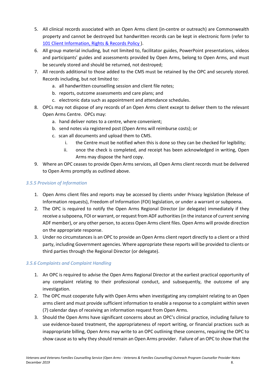- 5. All clinical records associated with an Open Arms client (in-centre or outreach) are Commonwealth property and cannot be destroyed but handwritten records can be kept in electronic form (refer to [101 Client Information, Rights & Records Policy \)](https://confluence.vera.org.au/pages/viewpage.action?pageId=33259655).
- 6. All group material including, but not limited to, facilitator guides, PowerPoint presentations, videos and participants' guides and assessments provided by Open Arms, belong to Open Arms, and must be securely stored and should be returned, not destroyed;
- 7. All records additional to those added to the CMS must be retained by the OPC and securely stored. Records including, but not limited to:
	- a. all handwritten counselling session and client file notes;
	- b. reports, outcome assessments and care plans; and
	- c. electronic data such as appointment and attendance schedules.
- 8. OPCs may not dispose of any records of an Open Arms client except to deliver them to the relevant Open Arms Centre. OPCs may:
	- a. hand deliver notes to a centre, where convenient;
	- b. send notes via registered post (Open Arms will reimburse costs); or
	- c. scan all documents and upload them to CMS.
		- i. the Centre must be notified when this is done so they can be checked for legibility;
		- ii. once the check is completed, and receipt has been acknowledged in writing, Open Arms may dispose the hard copy.
- 9. Where an OPC ceases to provide Open Arms services, all Open Arms client records must be delivered to Open Arms promptly as outlined above.

#### *3.5.5 Provision of Information*

- 1. Open Arms client files and reports may be accessed by clients under Privacy legislation (Release of Information requests), Freedom of Information (FOI) legislation, or under a warrant or subpoena.
- 2. The OPC is required to notify the Open Arms Regional Director (or delegate) immediately if they receive a subpoena, FOI or warrant, or request from ADF authorities (in the instance of current serving ADF member), or any other person, to access Open Arms client files. Open Arms will provide direction on the appropriate response.
- 3. Under no circumstances is an OPC to provide an Open Arms client report directly to a client or a third party, including Government agencies. Where appropriate these reports will be provided to clients or third parties through the Regional Director (or delegate).

#### *3.5.6 Complaints and Complaint Handling*

- 1. An OPC is required to advise the Open Arms Regional Director at the earliest practical opportunity of any complaint relating to their professional conduct, and subsequently, the outcome of any investigation.
- 2. The OPC must cooperate fully with Open Arms when investigating any complaint relating to an Open arms client and must provide sufficient information to enable a response to a complaint within seven (7) calendar days of receiving an information request from Open Arms.
- 3. Should the Open Arms have significant concerns about an OPC's clinical practice, including failure to use evidence-based treatment, the appropriateness of report writing, or financial practices such as inappropriate billing, Open Arms may write to an OPC outlining these concerns, requiring the OPC to show cause as to why they should remain an Open Arms provider. Failure of an OPC to show that the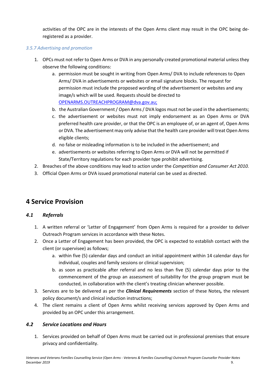activities of the OPC are in the interests of the Open Arms client may result in the OPC being deregistered as a provider.

#### *3.5.7 Advertising and promotion*

- 1. OPCs must not refer to Open Arms or DVA in any personally created promotional material unless they observe the following conditions:
	- a. permission must be sought in writing from Open Arms/ DVA to include references to Open Arms/ DVA in advertisements or websites or email signature blocks. The request for permission must include the proposed wording of the advertisement or websites and any image/s which will be used. Requests should be directed to [OPENARMS.OUTREACHPROGRAM@dva.gov.au;](mailto:OPENARMS.OUTREACHPROGRAM@dva.gov.au)
	- b. the Australian Government / Open Arms/ DVA logos must not be used in the advertisements;
	- c. the advertisement or websites must not imply endorsement as an Open Arms or DVA preferred health care provider, or that the OPC is an employee of, or an agent of, Open Arms or DVA. The advertisement may only advise that the health care provider will treat Open Arms eligible clients;
	- d. no false or misleading information is to be included in the advertisement; and
	- e. advertisements or websites referring to Open Arms or DVA will not be permitted if State/Territory regulations for each provider type prohibit advertising.
- 2. Breaches of the above conditions may lead to action under the *Competition and Consumer Act 2010.*
- 3. Official Open Arms or DVA issued promotional material can be used as directed.

## <span id="page-9-0"></span>**4 Service Provision**

#### <span id="page-9-1"></span>*4.1 Referrals*

- 1. A written referral or 'Letter of Engagement' from Open Arms is required for a provider to deliver Outreach Program services in accordance with these Notes.
- 2. Once a Letter of Engagement has been provided, the OPC is expected to establish contact with the client (or supervisee) as follows;
	- a. within five (5) calendar days and conduct an initial appointment within 14 calendar days for individual, couples and family sessions or clinical supervision;
	- b. as soon as practicable after referral and no less than five (5) calendar days prior to the commencement of the group an assessment of suitability for the group program must be conducted, in collaboration with the client's treating clinician wherever possible.
- 3. Services are to be delivered as per the *Clinical Requirements* section of these Notes*,* the relevant policy document/s and clinical induction instructions;
- 4. The client remains a client of Open Arms whilst receiving services approved by Open Arms and provided by an OPC under this arrangement.

#### <span id="page-9-2"></span>*4.2 Service Locations and Hours*

1. Services provided on behalf of Open Arms must be carried out in professional premises that ensure privacy and confidentiality.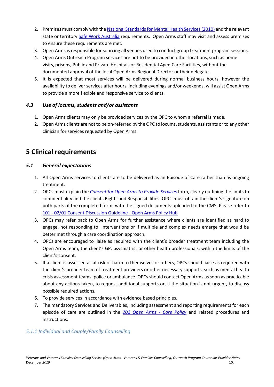- 2. Premises must comply with th[e National Standards for Mental Health Services \(2010\)](https://www1.health.gov.au/internet/publications/publishing.nsf/Content/mental-pubs-n-servst10-toc) and the relevant state or territory [Safe Work Australia](https://www.safeworkaustralia.gov.au/) requirements. Open Arms staff may visit and assess premises to ensure these requirements are met.
- 3. Open Arms is responsible for sourcing all venues used to conduct group treatment program sessions.
- 4. Open Arms Outreach Program services are not to be provided in other locations, such as home visits, prisons, Public and Private Hospitals or Residential Aged Care Facilities, without the documented approval of the local Open Arms Regional Director or their delegate.
- 5. It is expected that most services will be delivered during normal business hours, however the availability to deliver services after hours, including evenings and/or weekends, will assist Open Arms to provide a more flexible and responsive service to clients.

#### <span id="page-10-0"></span>*4.3 Use of locums, students and/or assistants*

- 1. Open Arms clients may only be provided services by the OPC to whom a referral is made.
- 2. Open Arms clients are not to be on-referred by the OPC to locums, students, assistants or to any other clinician for services requested by Open Arms.

## <span id="page-10-1"></span>**5 Clinical requirements**

#### <span id="page-10-2"></span>*5.1 General expectations*

- 1. All Open Arms services to clients are to be delivered as an Episode of Care rather than as ongoing treatment.
- 2. OPCs must explain the *[Consent for Open Arms to Provide Services](https://confluence.vera.org.au/pages/viewpage.action?pageId=79462444)* form, clearly outlining the limits to confidentiality and the clients Rights and Responsibilities. OPCs must obtain the client's signature on both parts of the completed form, with the signed documents uploaded to the CMS. Please refer to 101 - [02/01 Consent Discussion Guideline -](https://confluence.vera.org.au/pages/viewpage.action?pageId=79462434) Open Arms Policy Hub
- 3. OPCs may refer back to Open Arms for further assistance where clients are identified as hard to engage, not responding to interventions or if multiple and complex needs emerge that would be better met through a care coordination approach.
- 4. OPCs are encouraged to liaise as required with the client's broader treatment team including the Open Arms team, the client's GP, psychiatrist or other health professionals, within the limits of the client's consent.
- 5. If a client is assessed as at risk of harm to themselves or others, OPCs should liaise as required with the client's broader team of treatment providers or other necessary supports, such as mental health crisis assessment teams, police or ambulance. OPCs should contact Open Arms as soon as practicable about any actions taken, to request additional supports or, if the situation is not urgent, to discuss possible required actions.
- 6. To provide services in accordance with evidence based principles.
- 7. The mandatory Services and Deliverables, including assessment and reporting requirements for each episode of care are outlined in the *[202 Open Arms -](https://confluence.vera.org.au/display/CPPL/202+Open+Arms+Care+Policy) Care Policy* and related procedures and instructions.

#### *5.1.1 Individual and Couple/Family Counselling*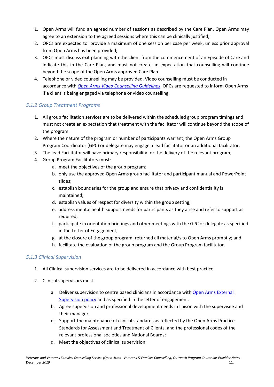- 1. Open Arms will fund an agreed number of sessions as described by the Care Plan. Open Arms may agree to an extension to the agreed sessions where this can be clinically justified;
- 2. OPCs are expected to provide a maximum of one session per case per week, unless prior approval from Open Arms has been provided;
- 3. OPCs must discuss exit planning with the client from the commencement of an Episode of Care and indicate this in the Care Plan, and must not create an expectation that counselling will continue beyond the scope of the Open Arms approved Care Plan.
- 4. Telephone or video counselling may be provided. Video counselling must be conducted in accordance with *Open Arms Video [Counselling Guidelines](https://confluence.vera.org.au/pages/viewpage.action?pageId=79462576)*. OPCs are requested to inform Open Arms if a client is being engaged via telephone or video counselling.

#### *5.1.2 Group Treatment Programs*

- 1. All group facilitation services are to be delivered within the scheduled group program timings and must not create an expectation that treatment with the facilitator will continue beyond the scope of the program.
- 2. Where the nature of the program or number of participants warrant, the Open Arms Group Program Coordinator (GPC) or delegate may engage a lead facilitator or an additional facilitator.
- 3. The lead Facilitator will have primary responsibility for the delivery of the relevant program;
- 4. Group Program Facilitators must:
	- a. meet the objectives of the group program;
	- b. only use the approved Open Arms group facilitator and participant manual and PowerPoint slides;
	- c. establish boundaries for the group and ensure that privacy and confidentiality is maintained;
	- d. establish values of respect for diversity within the group setting;
	- e. address mental health support needs for participants as they arise and refer to support as required;
	- f. participate in orientation briefings and other meetings with the GPC or delegate as specified in the Letter of Engagement;
	- g. at the closure of the group program, returned all material/s to Open Arms promptly; and
	- h. facilitate the evaluation of the group program and the Group Program facilitator.

#### *5.1.3 Clinical Supervision*

- 1. All Clinical supervision services are to be delivered in accordance with best practice.
- 2. Clinical supervisors must:
	- a. Deliver supervision to centre based clinicians in accordance with Open Arms External [Supervision policy](https://confluence.vera.org.au/pages/viewpage.action?pageId=79462782) and as specified in the letter of engagement.
	- b. Agree supervision and professional development needs in liaison with the supervisee and their manager.
	- c. Support the maintenance of clinical standards as reflected by the Open Arms Practice Standards for Assessment and Treatment of Clients, and the professional codes of the relevant professional societies and National Boards;
	- d. Meet the objectives of clinical supervision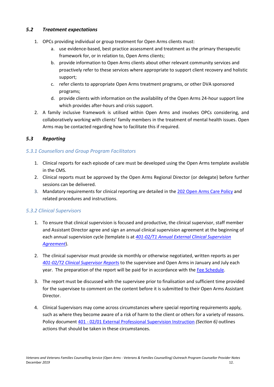#### <span id="page-12-0"></span>*5.2 Treatment expectations*

- 1. OPCs providing individual or group treatment for Open Arms clients must:
	- a. use evidence-based, best practice assessment and treatment as the primary therapeutic framework for, or in relation to, Open Arms clients;
	- b. provide information to Open Arms clients about other relevant community services and proactively refer to these services where appropriate to support client recovery and holistic support;
	- c. refer clients to appropriate Open Arms treatment programs, or other DVA sponsored programs;
	- d. provide clients with information on the availability of the Open Arms 24-hour support line which provides after-hours and crisis support.
- 2. A family inclusive framework is utilised within Open Arms and involves OPCs considering, and collaboratively working with clients' family members in the treatment of mental health issues. Open Arms may be contacted regarding how to facilitate this if required.

#### <span id="page-12-1"></span>*5.3 Reporting*

#### *5.3.1 Counsellors and Group Program Facilitators*

- 1. Clinical reports for each episode of care must be developed using the Open Arms template available in the CMS.
- 2. Clinical reports must be approved by the Open Arms Regional Director (or delegate) before further sessions can be delivered.
- 3. Mandatory requirements for clinical reporting are detailed in the [202 Open Arms Care Policy](https://confluence.vera.org.au/display/CPPL/202+Open+Arms+Care+Policy) and related procedures and instructions.

#### *5.3.2 Clinical Supervisors*

- 1. To ensure that clinical supervision is focused and productive, the clinical supervisor, staff member and Assistant Director agree and sign an annual clinical supervision agreement at the beginning of each annual supervision cycle (template is at *[401-02/T1 Annual External Clinical Supervision](https://confluence.vera.org.au/pages/viewpage.action?pageId=79462786)  [Agreement](https://confluence.vera.org.au/pages/viewpage.action?pageId=79462786)*).
- 2. The clinical supervisor must provide six monthly or otherwise negotiated, written reports as per *[401-02/T2 Clinical](https://confluence.vera.org.au/pages/viewpage.action?pageId=79462788) Supervisor Report*s to the supervisee and Open Arms in January and July each year. The preparation of the report will be paid for in accordance with the [Fee Schedule.](https://www.openarms.gov.au/join-us/open-arms-outreach-program)
- 3. The report must be discussed with the supervisee prior to finalisation and sufficient time provided for the supervisee to comment on the content before it is submitted to their Open Arms Assistant Director.
- 4. Clinical Supervisors may come across circumstances where special reporting requirements apply, such as where they become aware of a risk of harm to the client or others for a variety of reasons. Policy document 401 - [02/01 External Professional Supervision Instruction](https://confluence.vera.org.au/pages/viewpage.action?pageId=79462782) *(Section 6)* outlines actions that should be taken in these circumstances.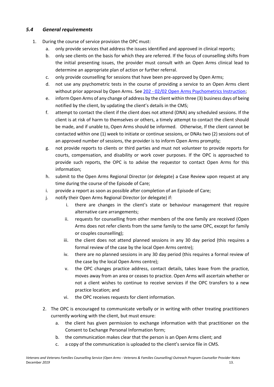#### <span id="page-13-0"></span>*5.4 General requirements*

- 1. During the course of service provision the OPC must:
	- a. only provide services that address the issues identified and approved in clinical reports;
	- b. only see clients on the basis for which they are referred. If the focus of counselling shifts from the initial presenting issues, the provider must consult with an Open Arms clinical lead to determine an appropriate plan of action or further referral.
	- c. only provide counselling for sessions that have been pre-approved by Open Arms;
	- d. not use any psychometric tests in the course of providing a service to an Open Arms client without prior approval by Open Arms. See 202 - [02/02 Open Arms Psychometrics Instruction;](https://confluence.vera.org.au/pages/viewpage.action?pageId=79462536)
	- e. inform Open Arms of any change of address by the client within three (3) business days of being notified by the client, by updating the client's details in the CMS;
	- f. attempt to contact the client if the client does not attend (DNA) any scheduled sessions. If the client is at risk of harm to themselves or others, a timely attempt to contact the client should be made, and if unable to, Open Arms should be informed. Otherwise, If the client cannot be contacted within one (1) week to initiate or continue sessions, or DNAs two (2) sessions out of an approved number of sessions, the provider is to inform Open Arms promptly;
	- g. not provide reports to clients or third parties and must not volunteer to provide reports for courts, compensation, and disability or work cover purposes. If the OPC is approached to provide such reports, the OPC is to advise the requestor to contact Open Arms for this information;
	- h. submit to the Open Arms Regional Director (or delegate) a Case Review upon request at any time during the course of the Episode of Care;
	- i. provide a report as soon as possible after completion of an Episode of Care;
	- j. notify their Open Arms Regional Director (or delegate) if:
		- i. there are changes in the client's state or behaviour management that require alternative care arrangements;
		- ii. requests for counselling from other members of the one family are received (Open Arms does not refer clients from the same family to the same OPC, except for family or couples counselling);
		- iii. the client does not attend planned sessions in any 30 day period (this requires a formal review of the case by the local Open Arms centre);
		- iv. there are no planned sessions in any 30 day period (this requires a formal review of the case by the local Open Arms centre);
		- v. the OPC changes practice address, contact details, takes leave from the practice, moves away from an area or ceases to practice. Open Arms will ascertain whether or not a client wishes to continue to receive services if the OPC transfers to a new practice location; and
		- vi. the OPC receives requests for client information.
	- 2. The OPC is encouraged to communicate verbally or in writing with other treating practitioners currently working with the client, but must ensure:
		- a. the client has given permission to exchange information with that practitioner on the Consent to Exchange Personal Information form;
		- b. the communication makes clear that the person is an Open Arms client; and
		- c. a copy of the communication is uploaded to the client's service file in CMS.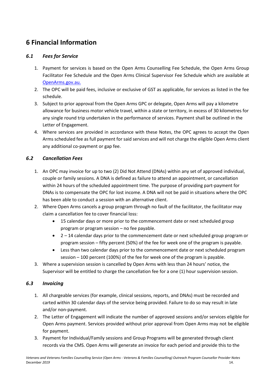## <span id="page-14-0"></span>**6 Financial Information**

#### <span id="page-14-1"></span>*6.1 Fees for Service*

- 1. Payment for services is based on the Open Arms Counselling Fee Schedule, the Open Arms Group Facilitator Fee Schedule and the Open Arms Clinical Supervisor Fee Schedule which are available at [OpenArms.gov.au.](https://www.openarms.gov.au/professionals/work-open-arms)
- 2. The OPC will be paid fees, inclusive or exclusive of GST as applicable, for services as listed in the fee schedule.
- 3. Subject to prior approval from the Open Arms GPC or delegate, Open Arms will pay a kilometre allowance for business motor vehicle travel, within a state or territory, in excess of 30 kilometres for any single round trip undertaken in the performance of services. Payment shall be outlined in the Letter of Engagement.
- 4. Where services are provided in accordance with these Notes, the OPC agrees to accept the Open Arms scheduled fee as full payment for said services and will not charge the eligible Open Arms client any additional co-payment or gap fee.

#### <span id="page-14-2"></span>*6.2 Cancellation Fees*

- 1. An OPC may invoice for up to two (2) Did Not Attend (DNAs) within any set of approved individual, couple or family sessions. A DNA is defined as failure to attend an appointment, or cancellation within 24 hours of the scheduled appointment time. The purpose of providing part-payment for DNAs is to compensate the OPC for lost income. A DNA will not be paid in situations where the OPC has been able to conduct a session with an alternative client.
- 2. Where Open Arms cancels a group program through no fault of the facilitator, the facilitator may claim a cancellation fee to cover financial loss:
	- 15 calendar days or more prior to the commencement date or next scheduled group program or program session – no fee payable.
	- $\bullet$  2 14 calendar days prior to the commencement date or next scheduled group program or program session – fifty percent (50%) of the fee for week one of the program is payable.
	- Less than two calendar days prior to the commencement date or next scheduled program session – 100 percent (100%) of the fee for week one of the program is payable.
- 3. Where a supervision session is cancelled by Open Arms with less than 24 hours' notice, the Supervisor will be entitled to charge the cancellation fee for a one (1) hour supervision session.

#### <span id="page-14-3"></span>*6.3 Invoicing*

- 1. All chargeable services (for example, clinical sessions, reports, and DNAs) must be recorded and carted within 30 calendar days of the service being provided. Failure to do so may result in late and/or non-payment.
- 2. The Letter of Engagement will indicate the number of approved sessions and/or services eligible for Open Arms payment. Services provided without prior approval from Open Arms may not be eligible for payment.
- 3. Payment for Individual/Family sessions and Group Programs will be generated through client records via the CMS. Open Arms will generate an invoice for each period and provide this to the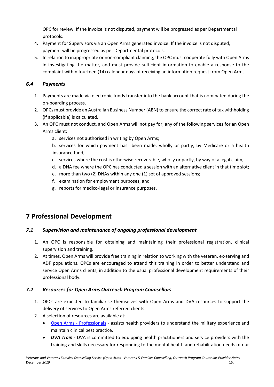OPC for review. If the invoice is not disputed, payment will be progressed as per Departmental protocols.

- 4. Payment for Supervisors via an Open Arms generated invoice. If the invoice is not disputed, payment will be progressed as per Departmental protocols.
- 5. In relation to inappropriate or non-compliant claiming, the OPC must cooperate fully with Open Arms in investigating the matter, and must provide sufficient information to enable a response to the complaint within fourteen (14) calendar days of receiving an information request from Open Arms.

#### <span id="page-15-0"></span>*6.4 Payments*

- 1. Payments are made via electronic funds transfer into the bank account that is nominated during the on-boarding process.
- 2. OPCs must provide an Australian Business Number (ABN) to ensure the correct rate of tax withholding (if applicable) is calculated.
- 3. An OPC must not conduct, and Open Arms will not pay for, any of the following services for an Open Arms client:
	- a. services not authorised in writing by Open Arms;
	- b. services for which payment has been made, wholly or partly, by Medicare or a health insurance fund;
	- c. services where the cost is otherwise recoverable, wholly or partly, by way of a legal claim;
	- d. a DNA fee where the OPC has conducted a session with an alternative client in that time slot;
	- e. more than two (2) DNAs within any one (1) set of approved sessions;
	- f. examination for employment purposes; and
	- g. reports for medico-legal or insurance purposes.

## <span id="page-15-1"></span>**7 Professional Development**

#### <span id="page-15-2"></span>*7.1 Supervision and maintenance of ongoing professional development*

- 1. An OPC is responsible for obtaining and maintaining their professional registration, clinical supervision and training.
- 2. At times, Open Arms will provide free training in relation to working with the veteran, ex-serving and ADF populations. OPCs are encouraged to attend this training in order to better understand and service Open Arms clients, in addition to the usual professional development requirements of their professional body.

#### <span id="page-15-3"></span>*7.2 Resources for Open Arms Outreach Program Counsellors*

- 1. OPCs are expected to familiarise themselves with Open Arms and DVA resources to support the delivery of services to Open Arms referred clients.
- 2. A selection of resources are available at:
	- Open Arms [Professionals](https://www.openarms.gov.au/professionals) assists health providers to understand the military experience and maintain clinical best practice.
	- *DVA Train* DVA is committed to equipping health practitioners and service providers with the training and skills necessary for responding to the mental health and rehabilitation needs of our